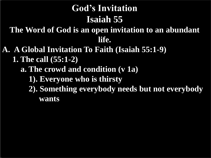- **A. A Global Invitation To Faith (Isaiah 55:1-9) 1. The call (55:1-2)**
	- **a. The crowd and condition (v 1a)**
		- **1). Everyone who is thirsty**
		- **2). Something everybody needs but not everybody wants**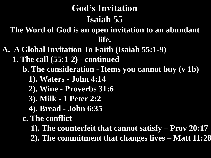- **A. A Global Invitation To Faith (Isaiah 55:1-9)**
	- **1. The call (55:1-2) - continued**
		- **b. The consideration - Items you cannot buy (v 1b)** 
			- **1). Waters - John 4:14**
			- **2). Wine - Proverbs 31:6**
			- **3). Milk - 1 Peter 2:2**
			- **4). Bread - John 6:35**
		- **c. The conflict**
			- **1). The counterfeit that cannot satisfy – Prov 20:17**
			- **2). The commitment that changes lives – Matt 11:28**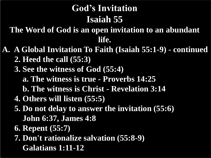- **A. A Global Invitation To Faith (Isaiah 55:1-9) - continued 2. Heed the call (55:3)**
	- **3. See the witness of God (55:4)** 
		- **a. The witness is true - Proverbs 14:25**
		- **b. The witness is Christ - Revelation 3:14**
	- **4. Others will listen (55:5)**
	- **5. Do not delay to answer the invitation (55:6) John 6:37, James 4:8**
	- **6. Repent (55:7)**
	- **7. Don't rationalize salvation (55:8-9) Galatians 1:11-12**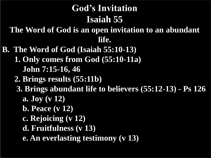- **B. The Word of God (Isaiah 55:10-13)**
	- **1. Only comes from God (55:10-11a)**
		- **John 7:15-16, 46**
	- **2. Brings results (55:11b)**
	- **3. Brings abundant life to believers (55:12-13) - Ps 126**
		- **a. Joy (v 12)**
		- **b. Peace (v 12)**
		- **c. Rejoicing (v 12)**
		- **d. Fruitfulness (v 13)**
		- **e. An everlasting testimony (v 13)**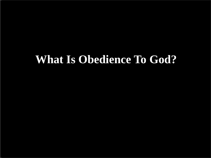# **What Is Obedience To God?**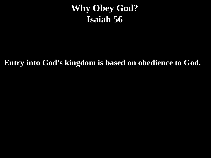#### **Why Obey God? Isaiah 56**

**Entry into God's kingdom is based on obedience to God.**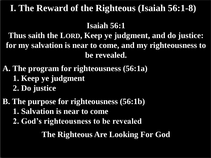#### **Isaiah 56:1**

**Thus saith the LORD, Keep ye judgment, and do justice: for my salvation is near to come, and my righteousness to be revealed.**

- **A. The program for righteousness (56:1a) 1. Keep ye judgment 2. Do justice**
- **B. The purpose for righteousness (56:1b) 1. Salvation is near to come 2. God's righteousness to be revealed**

**The Righteous Are Looking For God**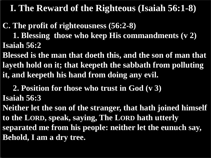**C. The profit of righteousness (56:2-8) 1. Blessing those who keep His commandments (v 2) Isaiah 56:2**

**Blessed is the man that doeth this, and the son of man that layeth hold on it; that keepeth the sabbath from polluting it, and keepeth his hand from doing any evil.**

 **2. Position for those who trust in God (v 3) Isaiah 56:3**

**Neither let the son of the stranger, that hath joined himself to the LORD, speak, saying, The LORD hath utterly separated me from his people: neither let the eunuch say, Behold, I am a dry tree.**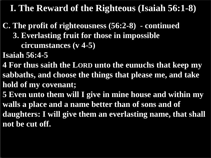- **C. The profit of righteousness (56:2-8) - continued 3. Everlasting fruit for those in impossible circumstances (v 4-5)**
- **Isaiah 56:4-5**
- **4 For thus saith the LORD unto the eunuchs that keep my sabbaths, and choose the things that please me, and take hold of my covenant;**
- **5 Even unto them will I give in mine house and within my walls a place and a name better than of sons and of daughters: I will give them an everlasting name, that shall not be cut off.**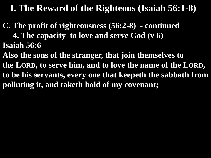**C. The profit of righteousness (56:2-8) - continued 4. The capacity to love and serve God (v 6) Isaiah 56:6**

**Also the sons of the stranger, that join themselves to the LORD, to serve him, and to love the name of the LORD, to be his servants, every one that keepeth the sabbath from polluting it, and taketh hold of my covenant;**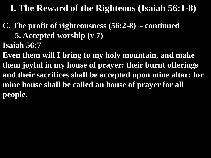**C. The profit of righteousness (56:2-8) - continued 5. Accepted worship (v 7) Isaiah 56:7**

**Even them will I bring to my holy mountain, and make them joyful in my house of prayer: their burnt offerings and their sacrifices shall be accepted upon mine altar; for mine house shall be called an house of prayer for all people.**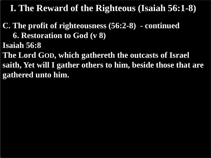**C. The profit of righteousness (56:2-8) - continued 6. Restoration to God (v 8) Isaiah 56:8**

**The Lord GOD, which gathereth the outcasts of Israel saith, Yet will I gather others to him, beside those that are gathered unto him.**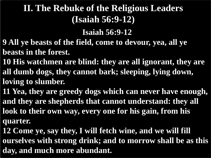## **II. The Rebuke of the Religious Leaders (Isaiah 56:9-12)**

#### **Isaiah 56:9-12**

- **9 All ye beasts of the field, come to devour, yea, all ye beasts in the forest.**
- **10 His watchmen are blind: they are all ignorant, they are all dumb dogs, they cannot bark; sleeping, lying down, loving to slumber.**
- **11 Yea, they are greedy dogs which can never have enough, and they are shepherds that cannot understand: they all look to their own way, every one for his gain, from his quarter.**
- **12 Come ye, say they, I will fetch wine, and we will fill ourselves with strong drink; and to morrow shall be as this day, and much more abundant.**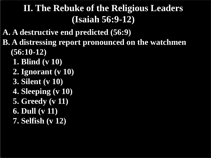## **II. The Rebuke of the Religious Leaders (Isaiah 56:9-12)**

- **A. A destructive end predicted (56:9)**
- **B. A distressing report pronounced on the watchmen (56:10-12)**
	- **1. Blind (v 10)**
	- **2. Ignorant (v 10)**
	- **3. Silent (v 10)**
	- **4. Sleeping (v 10)**
	- **5. Greedy (v 11)**
	- **6. Dull (v 11)**
	- **7. Selfish (v 12)**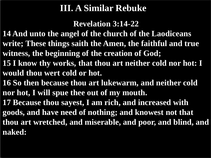#### **III. A Similar Rebuke**

**Revelation 3:14-22** 

- **14 And unto the angel of the church of the Laodiceans write; These things saith the Amen, the faithful and true witness, the beginning of the creation of God;**
- **15 I know thy works, that thou art neither cold nor hot: I would thou wert cold or hot.**
- **16 So then because thou art lukewarm, and neither cold nor hot, I will spue thee out of my mouth.**
- **17 Because thou sayest, I am rich, and increased with goods, and have need of nothing; and knowest not that thou art wretched, and miserable, and poor, and blind, and naked:**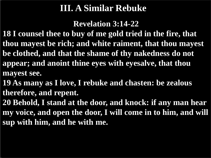#### **III. A Similar Rebuke**

**Revelation 3:14-22** 

**18 I counsel thee to buy of me gold tried in the fire, that thou mayest be rich; and white raiment, that thou mayest be clothed, and that the shame of thy nakedness do not appear; and anoint thine eyes with eyesalve, that thou mayest see.**

**19 As many as I love, I rebuke and chasten: be zealous therefore, and repent.**

**20 Behold, I stand at the door, and knock: if any man hear my voice, and open the door, I will come in to him, and will sup with him, and he with me.**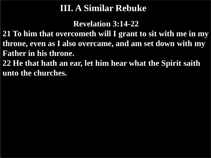#### **III. A Similar Rebuke**

**Revelation 3:14-22** 

**21 To him that overcometh will I grant to sit with me in my throne, even as I also overcame, and am set down with my Father in his throne.**

**22 He that hath an ear, let him hear what the Spirit saith unto the churches.**